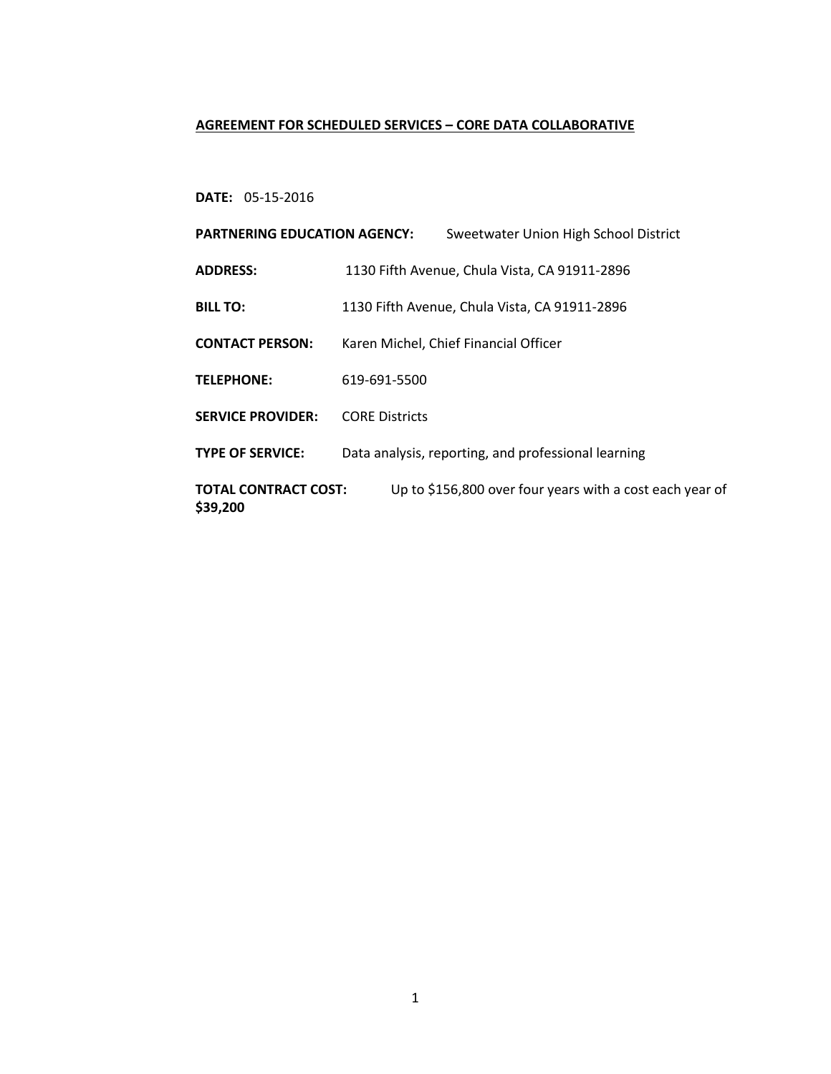## **AGREEMENT FOR SCHEDULED SERVICES – CORE DATA COLLABORATIVE**

# **DATE:** 05-15-2016

| <b>PARTNERING EDUCATION AGENCY:</b>                                                                 |                                               | Sweetwater Union High School District               |  |
|-----------------------------------------------------------------------------------------------------|-----------------------------------------------|-----------------------------------------------------|--|
| <b>ADDRESS:</b>                                                                                     | 1130 Fifth Avenue, Chula Vista, CA 91911-2896 |                                                     |  |
| <b>BILL TO:</b>                                                                                     | 1130 Fifth Avenue, Chula Vista, CA 91911-2896 |                                                     |  |
| <b>CONTACT PERSON:</b>                                                                              | Karen Michel, Chief Financial Officer         |                                                     |  |
| <b>TELEPHONE:</b>                                                                                   | 619-691-5500                                  |                                                     |  |
| <b>SERVICE PROVIDER:</b>                                                                            | <b>CORF Districts</b>                         |                                                     |  |
| <b>TYPE OF SERVICE:</b>                                                                             |                                               | Data analysis, reporting, and professional learning |  |
| Up to \$156,800 over four years with a cost each year of<br><b>TOTAL CONTRACT COST:</b><br>\$39,200 |                                               |                                                     |  |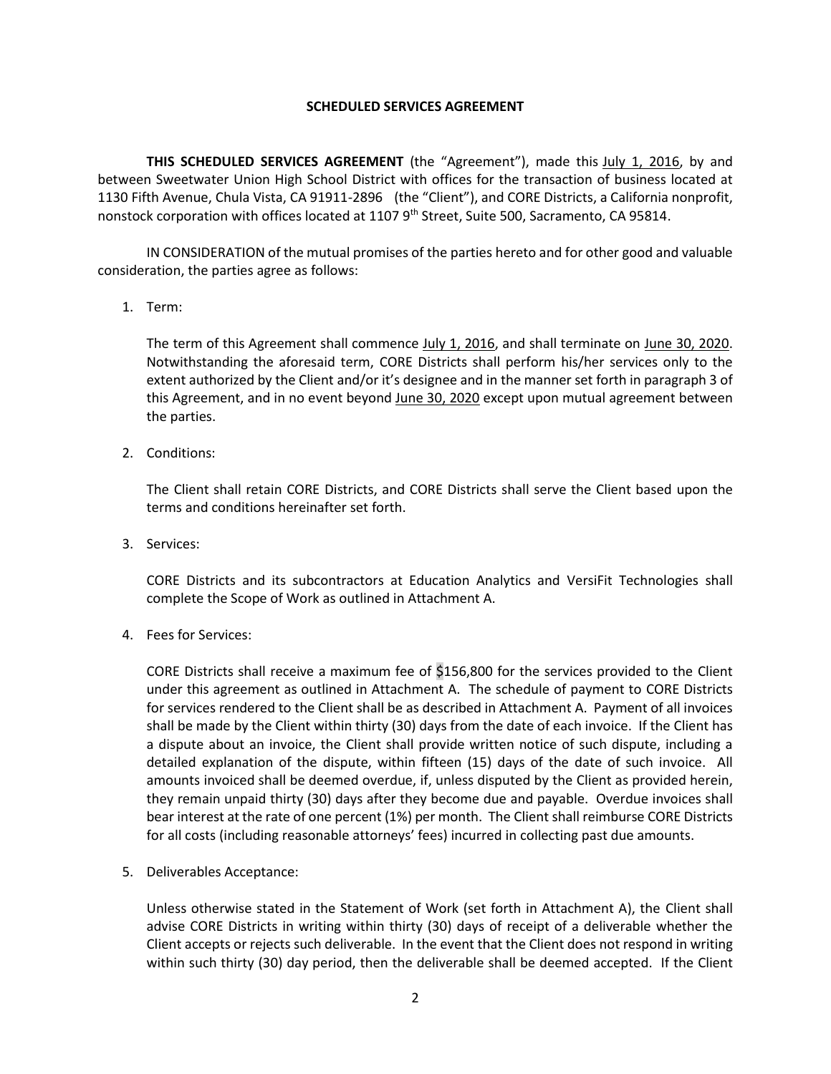#### **SCHEDULED SERVICES AGREEMENT**

**THIS SCHEDULED SERVICES AGREEMENT** (the "Agreement"), made this *July 1, 2016*, by and between Sweetwater Union High School District with offices for the transaction of business located at 1130 Fifth Avenue, Chula Vista, CA 91911-2896 (the "Client"), and CORE Districts, a California nonprofit, nonstock corporation with offices located at 1107 9<sup>th</sup> Street, Suite 500, Sacramento, CA 95814.

IN CONSIDERATION of the mutual promises of the parties hereto and for other good and valuable consideration, the parties agree as follows:

1. Term:

The term of this Agreement shall commence July 1, 2016, and shall terminate on June 30, 2020. Notwithstanding the aforesaid term, CORE Districts shall perform his/her services only to the extent authorized by the Client and/or it's designee and in the manner set forth in paragraph 3 of this Agreement, and in no event beyond June 30, 2020 except upon mutual agreement between the parties.

2. Conditions:

The Client shall retain CORE Districts, and CORE Districts shall serve the Client based upon the terms and conditions hereinafter set forth.

3. Services:

CORE Districts and its subcontractors at Education Analytics and VersiFit Technologies shall complete the Scope of Work as outlined in Attachment A.

4. Fees for Services:

CORE Districts shall receive a maximum fee of \$156,800 for the services provided to the Client under this agreement as outlined in Attachment A. The schedule of payment to CORE Districts for services rendered to the Client shall be as described in Attachment A. Payment of all invoices shall be made by the Client within thirty (30) days from the date of each invoice. If the Client has a dispute about an invoice, the Client shall provide written notice of such dispute, including a detailed explanation of the dispute, within fifteen (15) days of the date of such invoice. All amounts invoiced shall be deemed overdue, if, unless disputed by the Client as provided herein, they remain unpaid thirty (30) days after they become due and payable. Overdue invoices shall bear interest at the rate of one percent (1%) per month. The Client shall reimburse CORE Districts for all costs (including reasonable attorneys' fees) incurred in collecting past due amounts.

5. Deliverables Acceptance:

Unless otherwise stated in the Statement of Work (set forth in Attachment A), the Client shall advise CORE Districts in writing within thirty (30) days of receipt of a deliverable whether the Client accepts or rejects such deliverable. In the event that the Client does not respond in writing within such thirty (30) day period, then the deliverable shall be deemed accepted. If the Client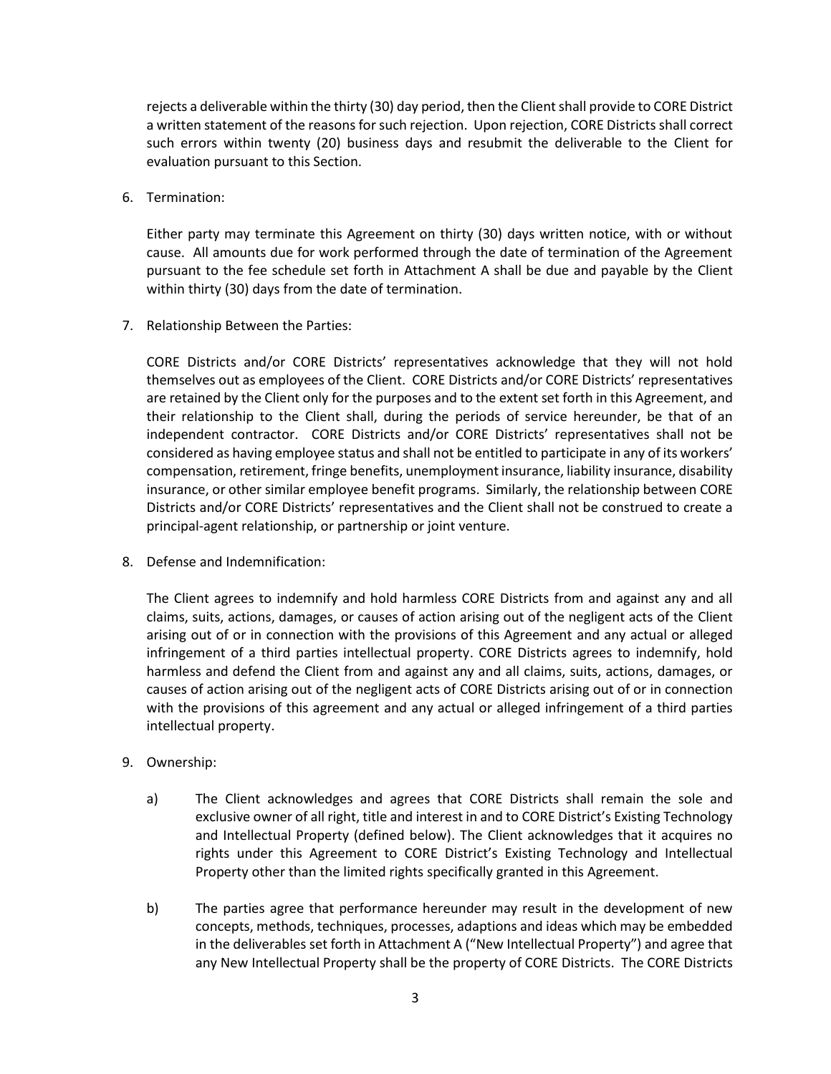rejects a deliverable within the thirty (30) day period, then the Clientshall provide to CORE District a written statement of the reasons for such rejection. Upon rejection, CORE Districts shall correct such errors within twenty (20) business days and resubmit the deliverable to the Client for evaluation pursuant to this Section.

6. Termination:

Either party may terminate this Agreement on thirty (30) days written notice, with or without cause. All amounts due for work performed through the date of termination of the Agreement pursuant to the fee schedule set forth in Attachment A shall be due and payable by the Client within thirty (30) days from the date of termination.

7. Relationship Between the Parties:

CORE Districts and/or CORE Districts' representatives acknowledge that they will not hold themselves out as employees of the Client. CORE Districts and/or CORE Districts' representatives are retained by the Client only for the purposes and to the extent set forth in this Agreement, and their relationship to the Client shall, during the periods of service hereunder, be that of an independent contractor. CORE Districts and/or CORE Districts' representatives shall not be considered as having employee status and shall not be entitled to participate in any of its workers' compensation, retirement, fringe benefits, unemployment insurance, liability insurance, disability insurance, or other similar employee benefit programs. Similarly, the relationship between CORE Districts and/or CORE Districts' representatives and the Client shall not be construed to create a principal-agent relationship, or partnership or joint venture.

8. Defense and Indemnification:

The Client agrees to indemnify and hold harmless CORE Districts from and against any and all claims, suits, actions, damages, or causes of action arising out of the negligent acts of the Client arising out of or in connection with the provisions of this Agreement and any actual or alleged infringement of a third parties intellectual property. CORE Districts agrees to indemnify, hold harmless and defend the Client from and against any and all claims, suits, actions, damages, or causes of action arising out of the negligent acts of CORE Districts arising out of or in connection with the provisions of this agreement and any actual or alleged infringement of a third parties intellectual property.

- 9. Ownership:
	- a) The Client acknowledges and agrees that CORE Districts shall remain the sole and exclusive owner of all right, title and interest in and to CORE District's Existing Technology and Intellectual Property (defined below). The Client acknowledges that it acquires no rights under this Agreement to CORE District's Existing Technology and Intellectual Property other than the limited rights specifically granted in this Agreement.
	- b) The parties agree that performance hereunder may result in the development of new concepts, methods, techniques, processes, adaptions and ideas which may be embedded in the deliverables set forth in Attachment A ("New Intellectual Property") and agree that any New Intellectual Property shall be the property of CORE Districts. The CORE Districts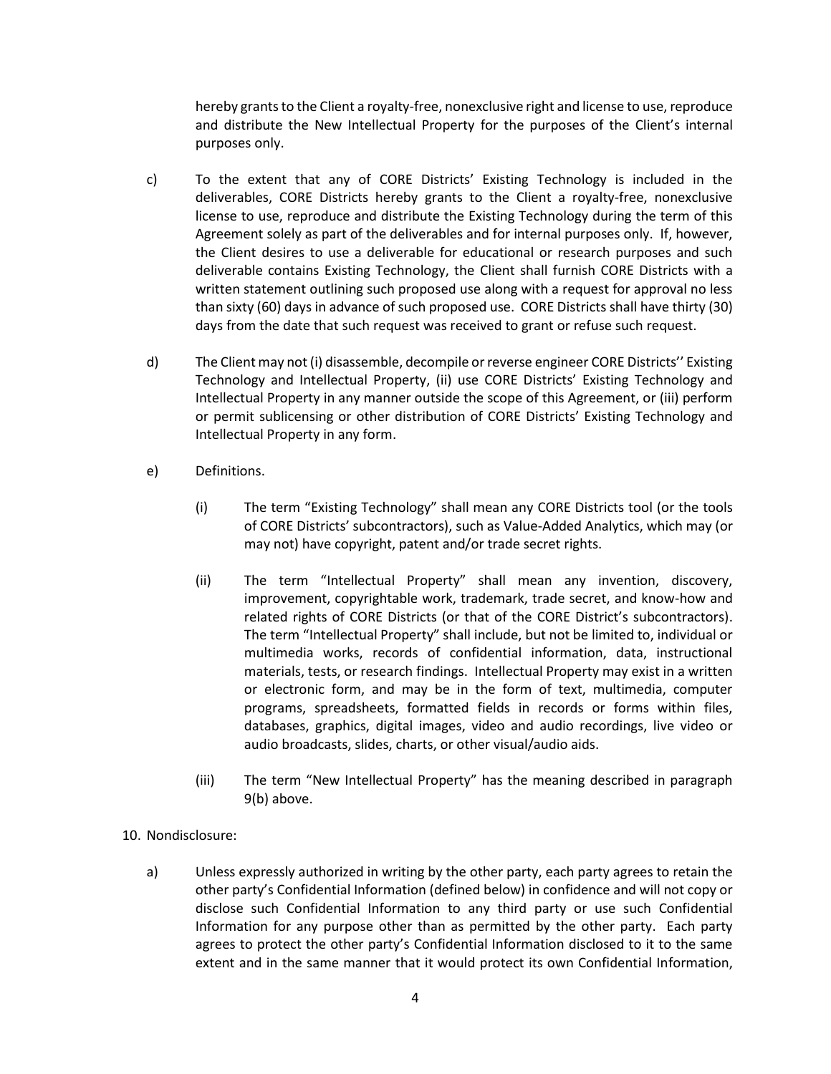hereby grants to the Client a royalty-free, nonexclusive right and license to use, reproduce and distribute the New Intellectual Property for the purposes of the Client's internal purposes only.

- c) To the extent that any of CORE Districts' Existing Technology is included in the deliverables, CORE Districts hereby grants to the Client a royalty-free, nonexclusive license to use, reproduce and distribute the Existing Technology during the term of this Agreement solely as part of the deliverables and for internal purposes only. If, however, the Client desires to use a deliverable for educational or research purposes and such deliverable contains Existing Technology, the Client shall furnish CORE Districts with a written statement outlining such proposed use along with a request for approval no less than sixty (60) days in advance of such proposed use. CORE Districts shall have thirty (30) days from the date that such request was received to grant or refuse such request.
- d) The Client may not (i) disassemble, decompile or reverse engineer CORE Districts'' Existing Technology and Intellectual Property, (ii) use CORE Districts' Existing Technology and Intellectual Property in any manner outside the scope of this Agreement, or (iii) perform or permit sublicensing or other distribution of CORE Districts' Existing Technology and Intellectual Property in any form.
- e) Definitions.
	- (i) The term "Existing Technology" shall mean any CORE Districts tool (or the tools of CORE Districts' subcontractors), such as Value-Added Analytics, which may (or may not) have copyright, patent and/or trade secret rights.
	- (ii) The term "Intellectual Property" shall mean any invention, discovery, improvement, copyrightable work, trademark, trade secret, and know-how and related rights of CORE Districts (or that of the CORE District's subcontractors). The term "Intellectual Property" shall include, but not be limited to, individual or multimedia works, records of confidential information, data, instructional materials, tests, or research findings. Intellectual Property may exist in a written or electronic form, and may be in the form of text, multimedia, computer programs, spreadsheets, formatted fields in records or forms within files, databases, graphics, digital images, video and audio recordings, live video or audio broadcasts, slides, charts, or other visual/audio aids.
	- (iii) The term "New Intellectual Property" has the meaning described in paragraph 9(b) above.
- 10. Nondisclosure:
	- a) Unless expressly authorized in writing by the other party, each party agrees to retain the other party's Confidential Information (defined below) in confidence and will not copy or disclose such Confidential Information to any third party or use such Confidential Information for any purpose other than as permitted by the other party. Each party agrees to protect the other party's Confidential Information disclosed to it to the same extent and in the same manner that it would protect its own Confidential Information,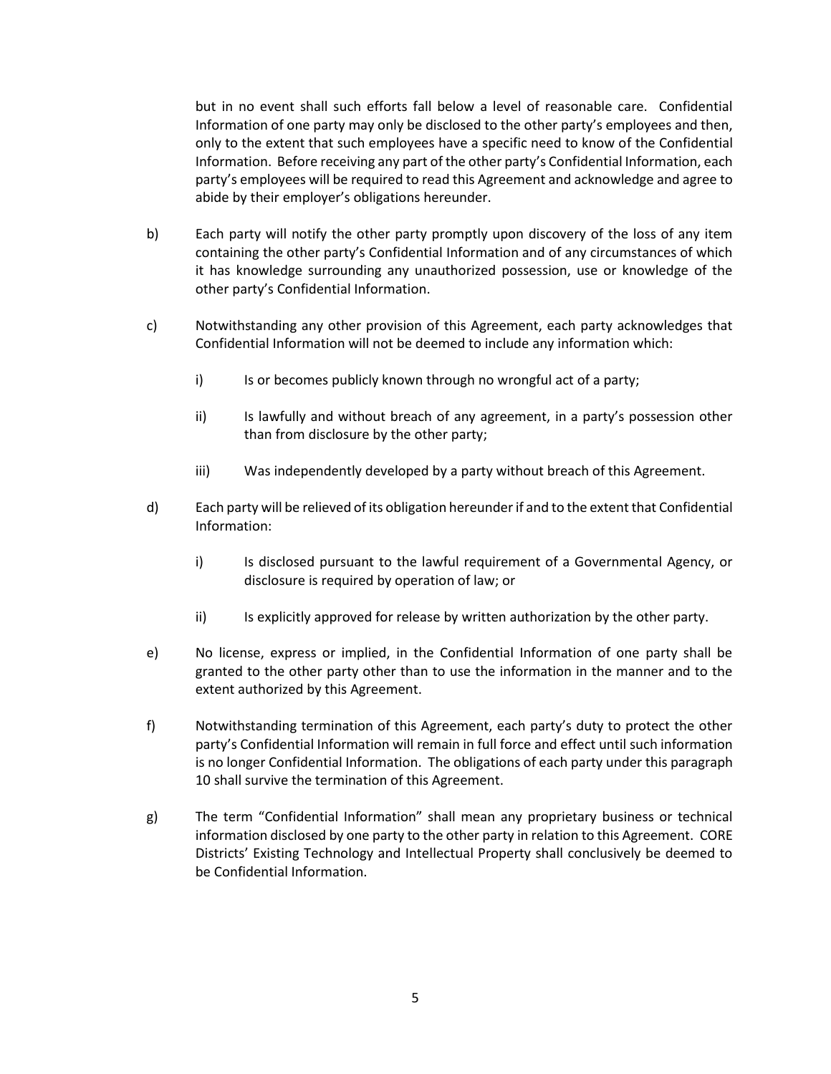but in no event shall such efforts fall below a level of reasonable care. Confidential Information of one party may only be disclosed to the other party's employees and then, only to the extent that such employees have a specific need to know of the Confidential Information. Before receiving any part of the other party's Confidential Information, each party's employees will be required to read this Agreement and acknowledge and agree to abide by their employer's obligations hereunder.

- b) Each party will notify the other party promptly upon discovery of the loss of any item containing the other party's Confidential Information and of any circumstances of which it has knowledge surrounding any unauthorized possession, use or knowledge of the other party's Confidential Information.
- c) Notwithstanding any other provision of this Agreement, each party acknowledges that Confidential Information will not be deemed to include any information which:
	- i) Is or becomes publicly known through no wrongful act of a party;
	- ii) Is lawfully and without breach of any agreement, in a party's possession other than from disclosure by the other party;
	- iii) Was independently developed by a party without breach of this Agreement.
- d) Each party will be relieved of its obligation hereunder if and to the extent that Confidential Information:
	- i) Is disclosed pursuant to the lawful requirement of a Governmental Agency, or disclosure is required by operation of law; or
	- ii) Is explicitly approved for release by written authorization by the other party.
- e) No license, express or implied, in the Confidential Information of one party shall be granted to the other party other than to use the information in the manner and to the extent authorized by this Agreement.
- f) Notwithstanding termination of this Agreement, each party's duty to protect the other party's Confidential Information will remain in full force and effect until such information is no longer Confidential Information. The obligations of each party under this paragraph 10 shall survive the termination of this Agreement.
- g) The term "Confidential Information" shall mean any proprietary business or technical information disclosed by one party to the other party in relation to this Agreement. CORE Districts' Existing Technology and Intellectual Property shall conclusively be deemed to be Confidential Information.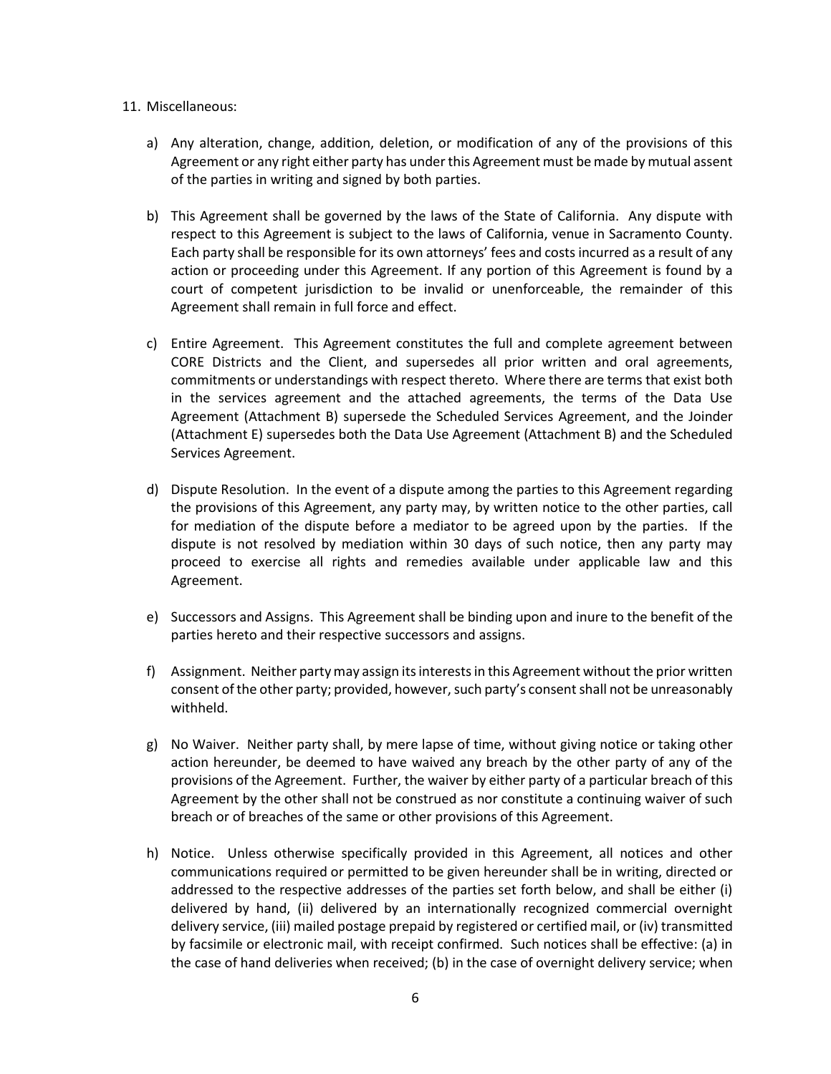#### 11. Miscellaneous:

- a) Any alteration, change, addition, deletion, or modification of any of the provisions of this Agreement or any right either party has under this Agreement must be made by mutual assent of the parties in writing and signed by both parties.
- b) This Agreement shall be governed by the laws of the State of California. Any dispute with respect to this Agreement is subject to the laws of California, venue in Sacramento County. Each party shall be responsible for its own attorneys' fees and costs incurred as a result of any action or proceeding under this Agreement. If any portion of this Agreement is found by a court of competent jurisdiction to be invalid or unenforceable, the remainder of this Agreement shall remain in full force and effect.
- c) Entire Agreement. This Agreement constitutes the full and complete agreement between CORE Districts and the Client, and supersedes all prior written and oral agreements, commitments or understandings with respect thereto. Where there are terms that exist both in the services agreement and the attached agreements, the terms of the Data Use Agreement (Attachment B) supersede the Scheduled Services Agreement, and the Joinder (Attachment E) supersedes both the Data Use Agreement (Attachment B) and the Scheduled Services Agreement.
- d) Dispute Resolution. In the event of a dispute among the parties to this Agreement regarding the provisions of this Agreement, any party may, by written notice to the other parties, call for mediation of the dispute before a mediator to be agreed upon by the parties. If the dispute is not resolved by mediation within 30 days of such notice, then any party may proceed to exercise all rights and remedies available under applicable law and this Agreement.
- e) Successors and Assigns. This Agreement shall be binding upon and inure to the benefit of the parties hereto and their respective successors and assigns.
- f) Assignment. Neither party may assign its interests in this Agreement without the prior written consent of the other party; provided, however, such party's consent shall not be unreasonably withheld.
- g) No Waiver. Neither party shall, by mere lapse of time, without giving notice or taking other action hereunder, be deemed to have waived any breach by the other party of any of the provisions of the Agreement. Further, the waiver by either party of a particular breach of this Agreement by the other shall not be construed as nor constitute a continuing waiver of such breach or of breaches of the same or other provisions of this Agreement.
- h) Notice. Unless otherwise specifically provided in this Agreement, all notices and other communications required or permitted to be given hereunder shall be in writing, directed or addressed to the respective addresses of the parties set forth below, and shall be either (i) delivered by hand, (ii) delivered by an internationally recognized commercial overnight delivery service, (iii) mailed postage prepaid by registered or certified mail, or (iv) transmitted by facsimile or electronic mail, with receipt confirmed. Such notices shall be effective: (a) in the case of hand deliveries when received; (b) in the case of overnight delivery service; when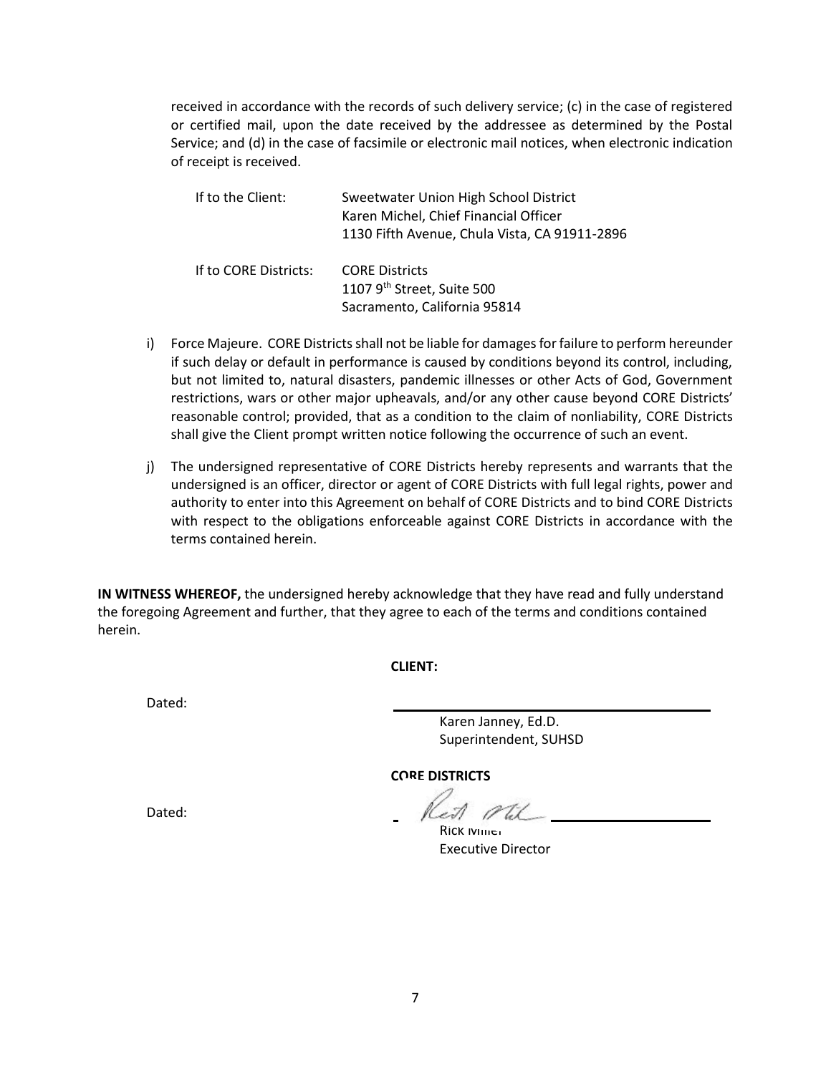received in accordance with the records of such delivery service; (c) in the case of registered or certified mail, upon the date received by the addressee as determined by the Postal Service; and (d) in the case of facsimile or electronic mail notices, when electronic indication of receipt is received.

| If to the Client:     | Sweetwater Union High School District<br>Karen Michel, Chief Financial Officer<br>1130 Fifth Avenue, Chula Vista, CA 91911-2896 |
|-----------------------|---------------------------------------------------------------------------------------------------------------------------------|
| If to CORE Districts: | <b>CORE Districts</b><br>1107 9 <sup>th</sup> Street, Suite 500<br>Sacramento, California 95814                                 |

- i) Force Majeure. CORE Districts shall not be liable for damages for failure to perform hereunder if such delay or default in performance is caused by conditions beyond its control, including, but not limited to, natural disasters, pandemic illnesses or other Acts of God, Government restrictions, wars or other major upheavals, and/or any other cause beyond CORE Districts' reasonable control; provided, that as a condition to the claim of nonliability, CORE Districts shall give the Client prompt written notice following the occurrence of such an event.
- j) The undersigned representative of CORE Districts hereby represents and warrants that the undersigned is an officer, director or agent of CORE Districts with full legal rights, power and authority to enter into this Agreement on behalf of CORE Districts and to bind CORE Districts with respect to the obligations enforceable against CORE Districts in accordance with the terms contained herein.

**IN WITNESS WHEREOF,** the undersigned hereby acknowledge that they have read and fully understand the foregoing Agreement and further, that they agree to each of the terms and conditions contained herein.

### **CLIENT:**

Dated:

Karen Janney, Ed.D. Superintendent, SUHSD

**CORE DISTRICTS**

Dated:

Rick *Miller* Executive Director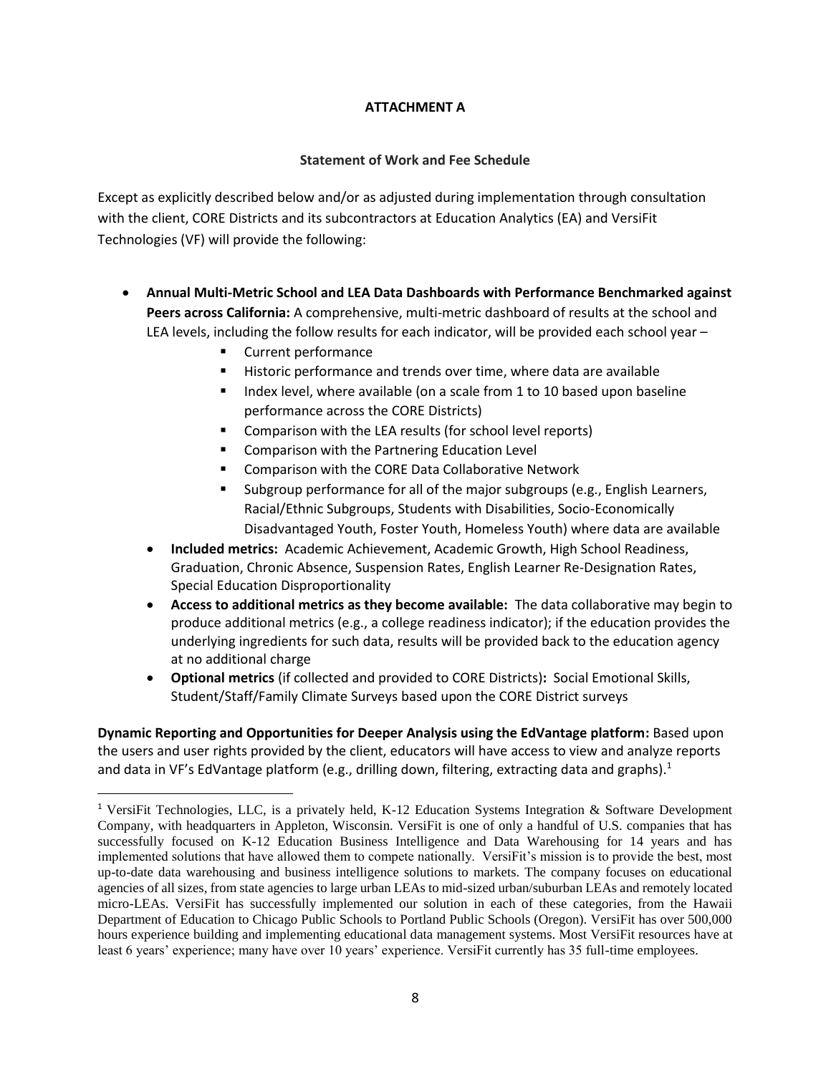## **ATTACHMENT A**

## **Statement of Work and Fee Schedule**

Except as explicitly described below and/or as adjusted during implementation through consultation with the client, CORE Districts and its subcontractors at Education Analytics (EA) and VersiFit Technologies (VF) will provide the following:

- **Annual Multi-Metric School and LEA Data Dashboards with Performance Benchmarked against Peers across California:** A comprehensive, multi-metric dashboard of results at the school and LEA levels, including the follow results for each indicator, will be provided each school year –
	- Current performance

 $\overline{\phantom{a}}$ 

- Historic performance and trends over time, where data are available
- Index level, where available (on a scale from 1 to 10 based upon baseline performance across the CORE Districts)
- Comparison with the LEA results (for school level reports)
- Comparison with the Partnering Education Level
- Comparison with the CORE Data Collaborative Network
- Subgroup performance for all of the major subgroups (e.g., English Learners, Racial/Ethnic Subgroups, Students with Disabilities, Socio-Economically Disadvantaged Youth, Foster Youth, Homeless Youth) where data are available
- **Included metrics:** Academic Achievement, Academic Growth, High School Readiness, Graduation, Chronic Absence, Suspension Rates, English Learner Re-Designation Rates, Special Education Disproportionality
- **Access to additional metrics as they become available:** The data collaborative may begin to produce additional metrics (e.g., a college readiness indicator); if the education provides the underlying ingredients for such data, results will be provided back to the education agency at no additional charge
- **Optional metrics** (if collected and provided to CORE Districts)**:** Social Emotional Skills, Student/Staff/Family Climate Surveys based upon the CORE District surveys

**Dynamic Reporting and Opportunities for Deeper Analysis using the EdVantage platform:** Based upon the users and user rights provided by the client, educators will have access to view and analyze reports and data in VF's EdVantage platform (e.g., drilling down, filtering, extracting data and graphs).<sup>1</sup>

<sup>&</sup>lt;sup>1</sup> VersiFit Technologies, LLC, is a privately held, K-12 Education Systems Integration & Software Development Company, with headquarters in Appleton, Wisconsin. VersiFit is one of only a handful of U.S. companies that has successfully focused on K-12 Education Business Intelligence and Data Warehousing for 14 years and has implemented solutions that have allowed them to compete nationally. VersiFit's mission is to provide the best, most up-to-date data warehousing and business intelligence solutions to markets. The company focuses on educational agencies of all sizes, from state agencies to large urban LEAs to mid-sized urban/suburban LEAs and remotely located micro-LEAs. VersiFit has successfully implemented our solution in each of these categories, from the Hawaii Department of Education to Chicago Public Schools to Portland Public Schools (Oregon). VersiFit has over 500,000 hours experience building and implementing educational data management systems. Most VersiFit resources have at least 6 years' experience; many have over 10 years' experience. VersiFit currently has 35 full-time employees.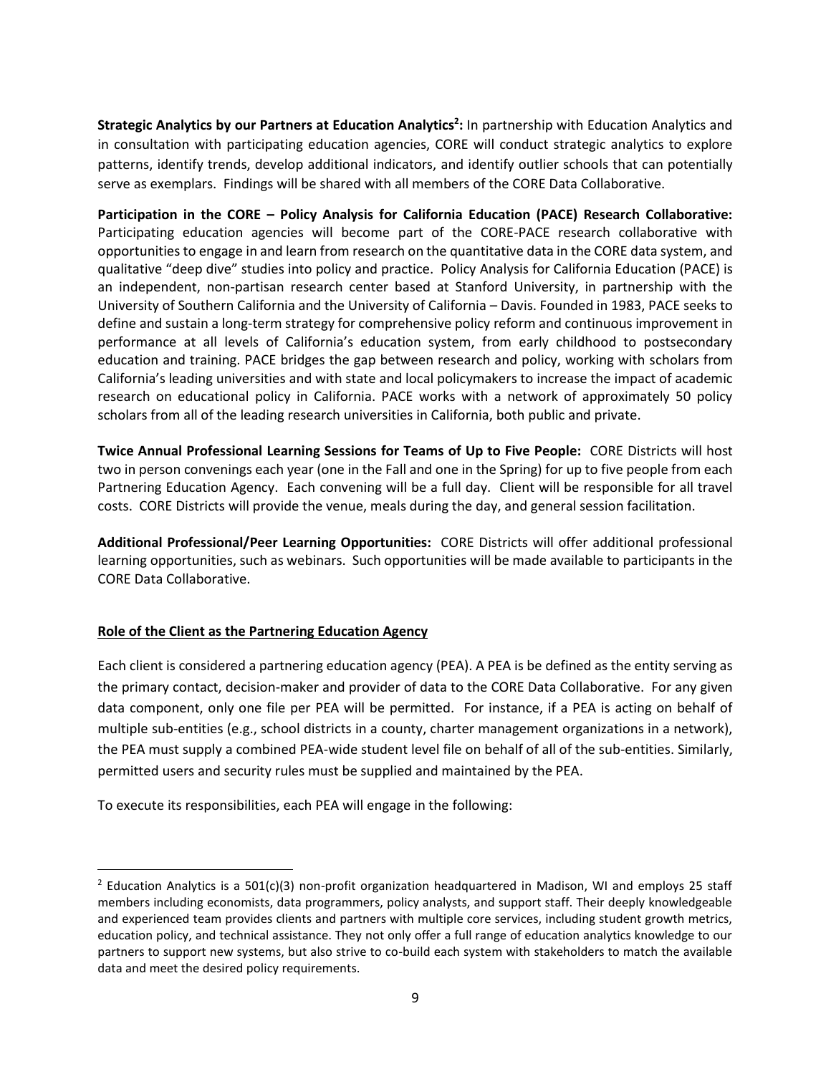**Strategic Analytics by our Partners at Education Analytics<sup>2</sup> :** In partnership with Education Analytics and in consultation with participating education agencies, CORE will conduct strategic analytics to explore patterns, identify trends, develop additional indicators, and identify outlier schools that can potentially serve as exemplars. Findings will be shared with all members of the CORE Data Collaborative.

**Participation in the CORE – Policy Analysis for California Education (PACE) Research Collaborative:**  Participating education agencies will become part of the CORE-PACE research collaborative with opportunities to engage in and learn from research on the quantitative data in the CORE data system, and qualitative "deep dive" studies into policy and practice. Policy Analysis for California Education (PACE) is an independent, non-partisan research center based at Stanford University, in partnership with the University of Southern California and the University of California – Davis. Founded in 1983, PACE seeks to define and sustain a long-term strategy for comprehensive policy reform and continuous improvement in performance at all levels of California's education system, from early childhood to postsecondary education and training. PACE bridges the gap between research and policy, working with scholars from California's leading universities and with state and local policymakers to increase the impact of academic research on educational policy in California. PACE works with a network of approximately 50 policy scholars from all of the leading research universities in California, both public and private.

**Twice Annual Professional Learning Sessions for Teams of Up to Five People:** CORE Districts will host two in person convenings each year (one in the Fall and one in the Spring) for up to five people from each Partnering Education Agency. Each convening will be a full day. Client will be responsible for all travel costs. CORE Districts will provide the venue, meals during the day, and general session facilitation.

**Additional Professional/Peer Learning Opportunities:** CORE Districts will offer additional professional learning opportunities, such as webinars. Such opportunities will be made available to participants in the CORE Data Collaborative.

### **Role of the Client as the Partnering Education Agency**

 $\overline{a}$ 

Each client is considered a partnering education agency (PEA). A PEA is be defined as the entity serving as the primary contact, decision-maker and provider of data to the CORE Data Collaborative. For any given data component, only one file per PEA will be permitted. For instance, if a PEA is acting on behalf of multiple sub-entities (e.g., school districts in a county, charter management organizations in a network), the PEA must supply a combined PEA-wide student level file on behalf of all of the sub-entities. Similarly, permitted users and security rules must be supplied and maintained by the PEA.

To execute its responsibilities, each PEA will engage in the following:

<sup>&</sup>lt;sup>2</sup> Education Analytics is a 501(c)(3) non-profit organization headquartered in Madison, WI and employs 25 staff members including economists, data programmers, policy analysts, and support staff. Their deeply knowledgeable and experienced team provides clients and partners with multiple core services, including student growth metrics, education policy, and technical assistance. They not only offer a full range of education analytics knowledge to our partners to support new systems, but also strive to co-build each system with stakeholders to match the available data and meet the desired policy requirements.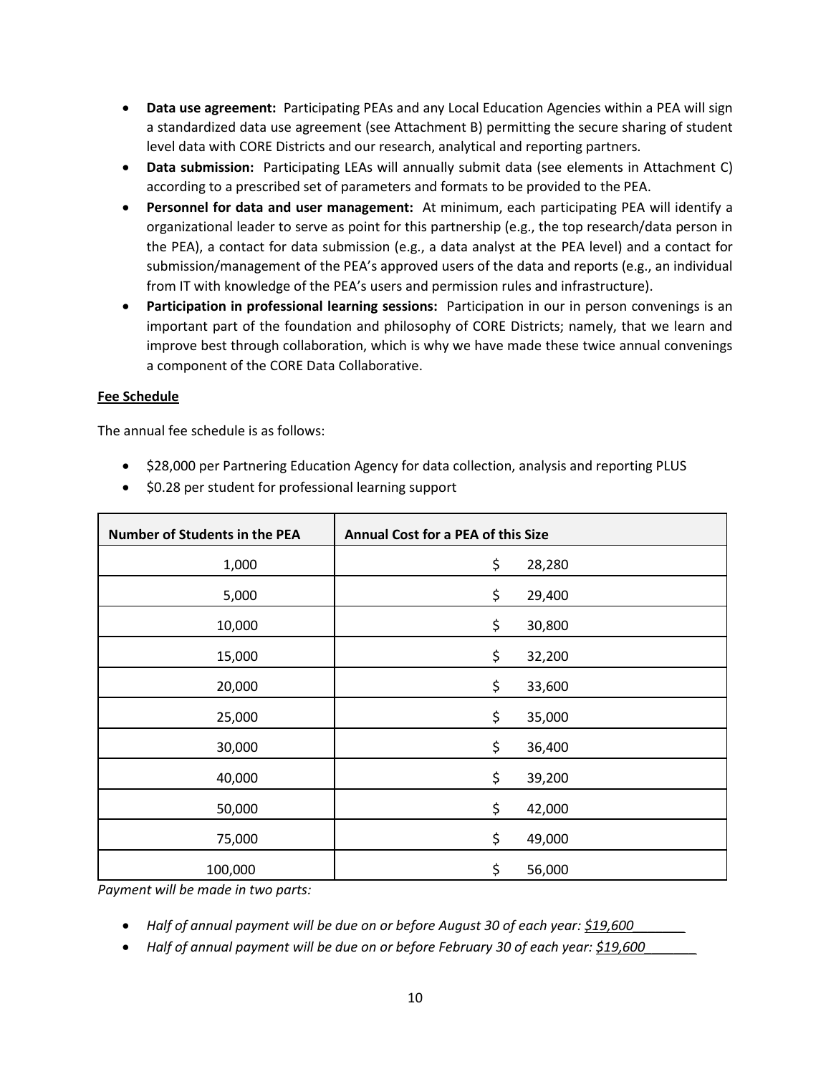- **Data use agreement:** Participating PEAs and any Local Education Agencies within a PEA will sign a standardized data use agreement (see Attachment B) permitting the secure sharing of student level data with CORE Districts and our research, analytical and reporting partners.
- **Data submission:** Participating LEAs will annually submit data (see elements in Attachment C) according to a prescribed set of parameters and formats to be provided to the PEA.
- **Personnel for data and user management:** At minimum, each participating PEA will identify a organizational leader to serve as point for this partnership (e.g., the top research/data person in the PEA), a contact for data submission (e.g., a data analyst at the PEA level) and a contact for submission/management of the PEA's approved users of the data and reports (e.g., an individual from IT with knowledge of the PEA's users and permission rules and infrastructure).
- **Participation in professional learning sessions:** Participation in our in person convenings is an important part of the foundation and philosophy of CORE Districts; namely, that we learn and improve best through collaboration, which is why we have made these twice annual convenings a component of the CORE Data Collaborative.

### **Fee Schedule**

The annual fee schedule is as follows:

• \$28,000 per Partnering Education Agency for data collection, analysis and reporting PLUS

| Number of Students in the PEA | Annual Cost for a PEA of this Size |        |
|-------------------------------|------------------------------------|--------|
| 1,000                         | \$                                 | 28,280 |
| 5,000                         | \$                                 | 29,400 |
| 10,000                        | \$                                 | 30,800 |
| 15,000                        | \$                                 | 32,200 |
| 20,000                        | \$                                 | 33,600 |
| 25,000                        | \$                                 | 35,000 |
| 30,000                        | \$                                 | 36,400 |
| 40,000                        | \$                                 | 39,200 |
| 50,000                        | \$                                 | 42,000 |
| 75,000                        | \$                                 | 49,000 |
| 100,000                       | \$                                 | 56,000 |

• \$0.28 per student for professional learning support

*Payment will be made in two parts:*

- *Half of annual payment will be due on or before August 30 of each year: \$19,600\_\_\_\_\_\_\_*
- Half of annual payment will be due on or before February 30 of each year: \$19,600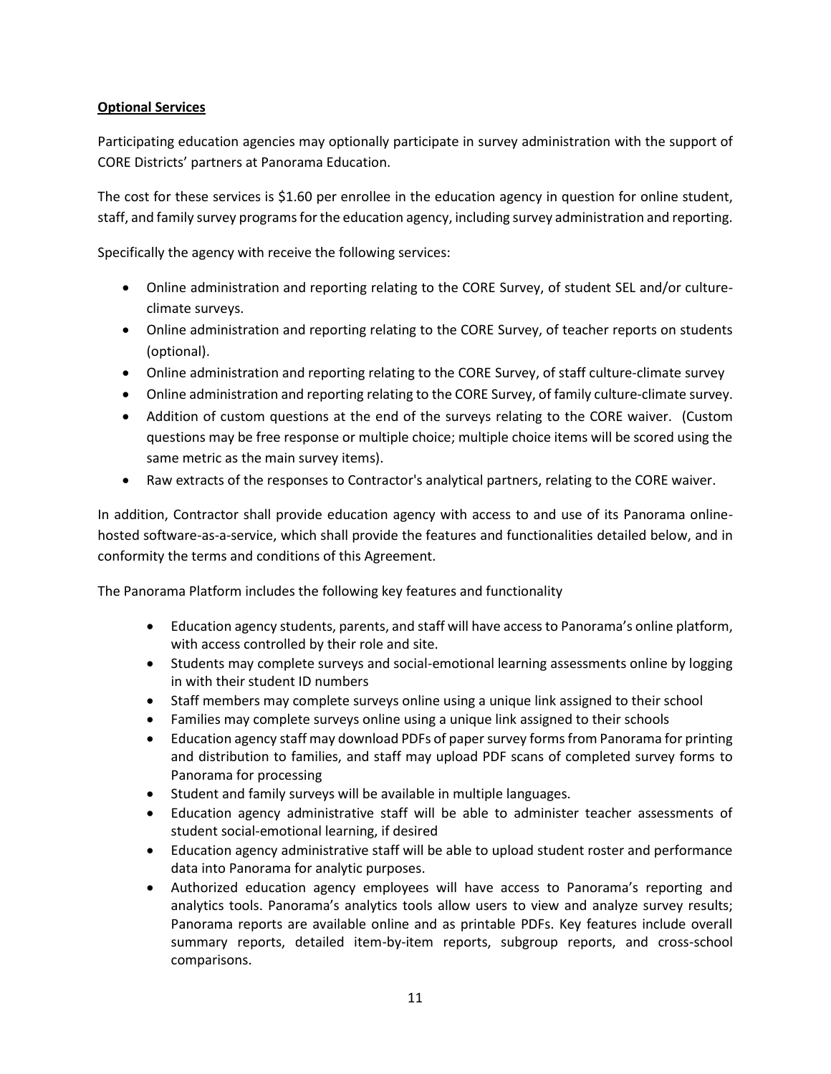## **Optional Services**

Participating education agencies may optionally participate in survey administration with the support of CORE Districts' partners at Panorama Education.

The cost for these services is \$1.60 per enrollee in the education agency in question for online student, staff, and family survey programs for the education agency, including survey administration and reporting.

Specifically the agency with receive the following services:

- Online administration and reporting relating to the CORE Survey, of student SEL and/or cultureclimate surveys.
- Online administration and reporting relating to the CORE Survey, of teacher reports on students (optional).
- Online administration and reporting relating to the CORE Survey, of staff culture-climate survey
- Online administration and reporting relating to the CORE Survey, of family culture-climate survey.
- Addition of custom questions at the end of the surveys relating to the CORE waiver. (Custom questions may be free response or multiple choice; multiple choice items will be scored using the same metric as the main survey items).
- Raw extracts of the responses to Contractor's analytical partners, relating to the CORE waiver.

In addition, Contractor shall provide education agency with access to and use of its Panorama onlinehosted software-as-a-service, which shall provide the features and functionalities detailed below, and in conformity the terms and conditions of this Agreement.

The Panorama Platform includes the following key features and functionality

- Education agency students, parents, and staff will have access to Panorama's online platform, with access controlled by their role and site.
- Students may complete surveys and social-emotional learning assessments online by logging in with their student ID numbers
- Staff members may complete surveys online using a unique link assigned to their school
- Families may complete surveys online using a unique link assigned to their schools
- Education agency staff may download PDFs of paper survey forms from Panorama for printing and distribution to families, and staff may upload PDF scans of completed survey forms to Panorama for processing
- Student and family surveys will be available in multiple languages.
- Education agency administrative staff will be able to administer teacher assessments of student social-emotional learning, if desired
- Education agency administrative staff will be able to upload student roster and performance data into Panorama for analytic purposes.
- Authorized education agency employees will have access to Panorama's reporting and analytics tools. Panorama's analytics tools allow users to view and analyze survey results; Panorama reports are available online and as printable PDFs. Key features include overall summary reports, detailed item-by-item reports, subgroup reports, and cross-school comparisons.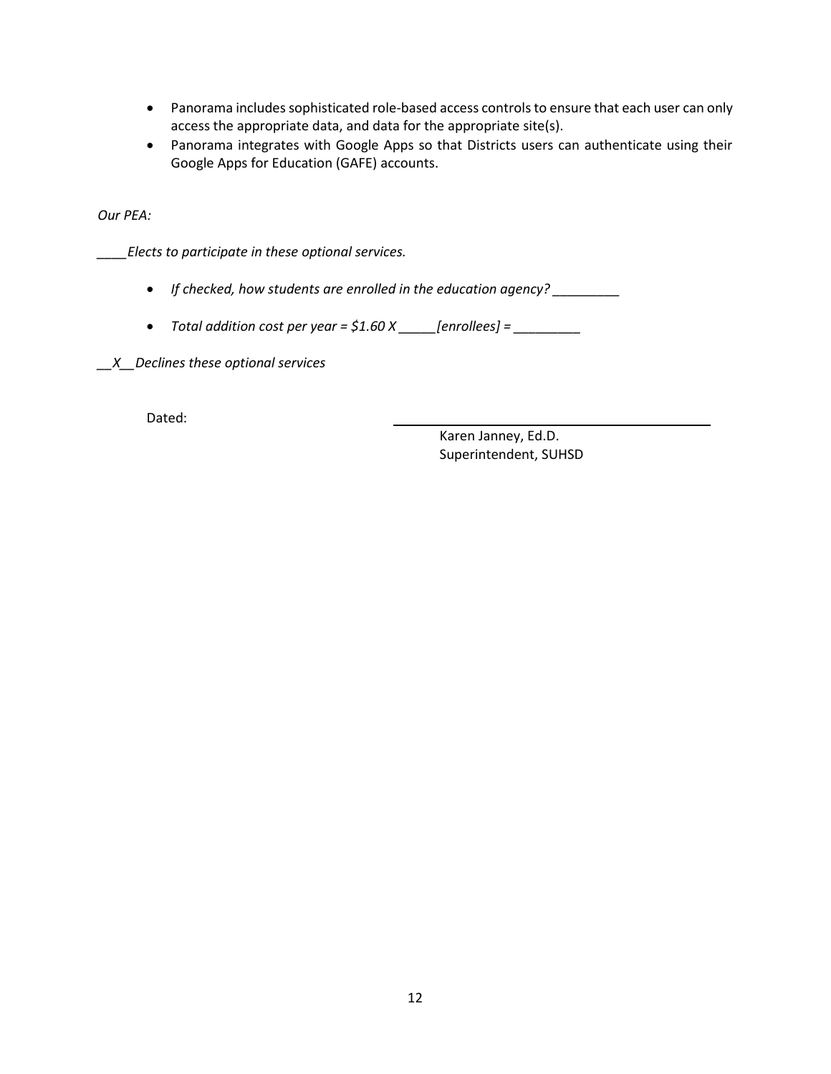- Panorama includes sophisticated role-based access controls to ensure that each user can only access the appropriate data, and data for the appropriate site(s).
- Panorama integrates with Google Apps so that Districts users can authenticate using their Google Apps for Education (GAFE) accounts.

*Our PEA:*

*\_\_\_\_Elects to participate in these optional services.*

- *If checked, how students are enrolled in the education agency? \_\_\_\_\_\_\_\_\_*
- *Total addition cost per year = \$1.60 X \_\_\_\_\_[enrollees] = \_\_\_\_\_\_\_\_\_*

*\_\_X\_\_Declines these optional services*

Dated:

Karen Janney, Ed.D. Superintendent, SUHSD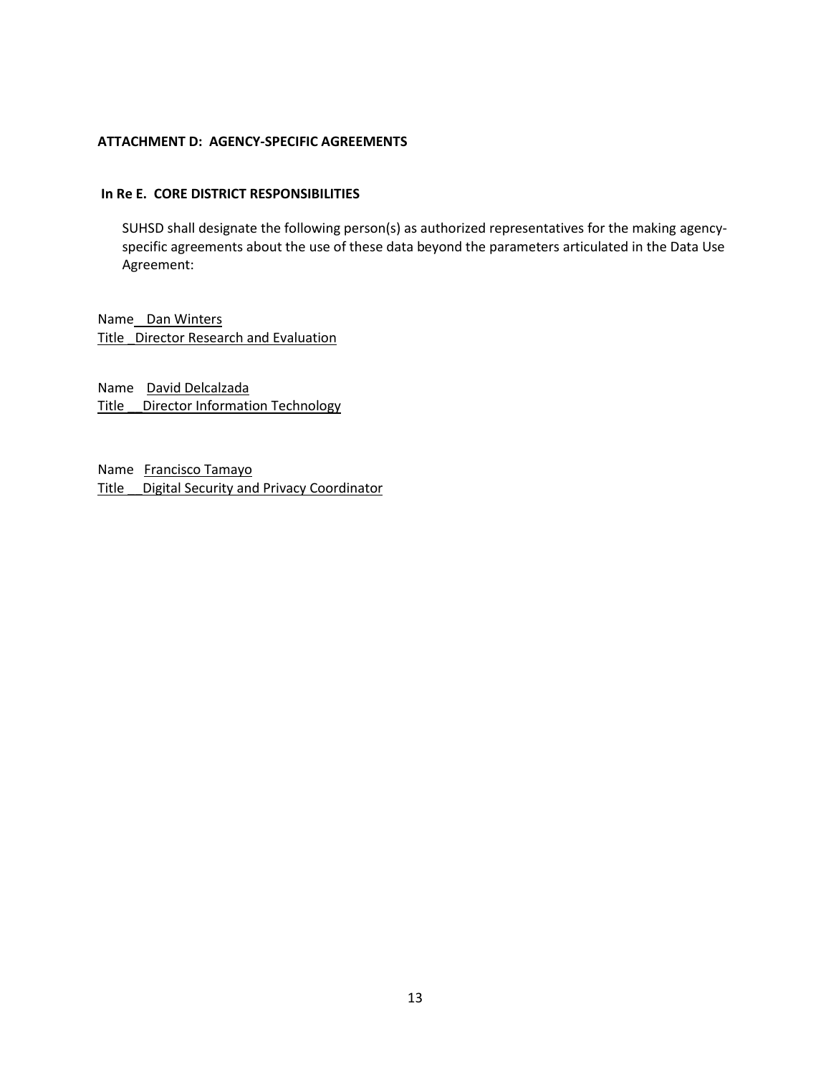#### **ATTACHMENT D: AGENCY-SPECIFIC AGREEMENTS**

#### **In Re E. CORE DISTRICT RESPONSIBILITIES**

SUHSD shall designate the following person(s) as authorized representatives for the making agencyspecific agreements about the use of these data beyond the parameters articulated in the Data Use Agreement:

Name Dan Winters Title \_Director Research and Evaluation

Name David Delcalzada Title Director Information Technology

Name Francisco Tamayo Title Digital Security and Privacy Coordinator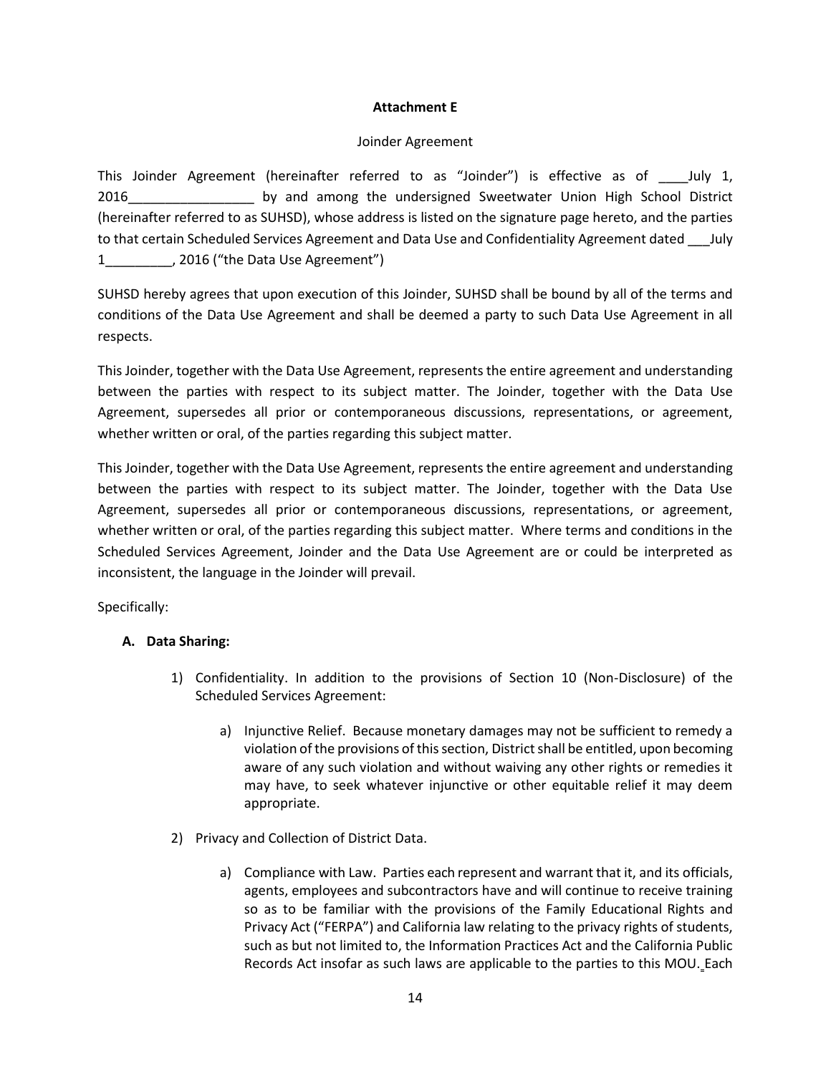### **Attachment E**

### Joinder Agreement

This Joinder Agreement (hereinafter referred to as "Joinder") is effective as of \_\_\_\_July 1, 2016 **by and among the undersigned Sweetwater Union High School District** (hereinafter referred to as SUHSD), whose address is listed on the signature page hereto, and the parties to that certain Scheduled Services Agreement and Data Use and Confidentiality Agreement dated July 1\_\_\_\_\_\_\_\_\_, 2016 ("the Data Use Agreement")

SUHSD hereby agrees that upon execution of this Joinder, SUHSD shall be bound by all of the terms and conditions of the Data Use Agreement and shall be deemed a party to such Data Use Agreement in all respects.

This Joinder, together with the Data Use Agreement, represents the entire agreement and understanding between the parties with respect to its subject matter. The Joinder, together with the Data Use Agreement, supersedes all prior or contemporaneous discussions, representations, or agreement, whether written or oral, of the parties regarding this subject matter.

This Joinder, together with the Data Use Agreement, represents the entire agreement and understanding between the parties with respect to its subject matter. The Joinder, together with the Data Use Agreement, supersedes all prior or contemporaneous discussions, representations, or agreement, whether written or oral, of the parties regarding this subject matter. Where terms and conditions in the Scheduled Services Agreement, Joinder and the Data Use Agreement are or could be interpreted as inconsistent, the language in the Joinder will prevail.

Specifically:

## **A. Data Sharing:**

- 1) Confidentiality. In addition to the provisions of Section 10 (Non-Disclosure) of the Scheduled Services Agreement:
	- a) Injunctive Relief. Because monetary damages may not be sufficient to remedy a violation of the provisions of this section, District shall be entitled, upon becoming aware of any such violation and without waiving any other rights or remedies it may have, to seek whatever injunctive or other equitable relief it may deem appropriate.
- 2) Privacy and Collection of District Data.
	- a) Compliance with Law. Parties each represent and warrant that it, and its officials, agents, employees and subcontractors have and will continue to receive training so as to be familiar with the provisions of the Family Educational Rights and Privacy Act ("FERPA") and California law relating to the privacy rights of students, such as but not limited to, the Information Practices Act and the California Public Records Act insofar as such laws are applicable to the parties to this MOU. Each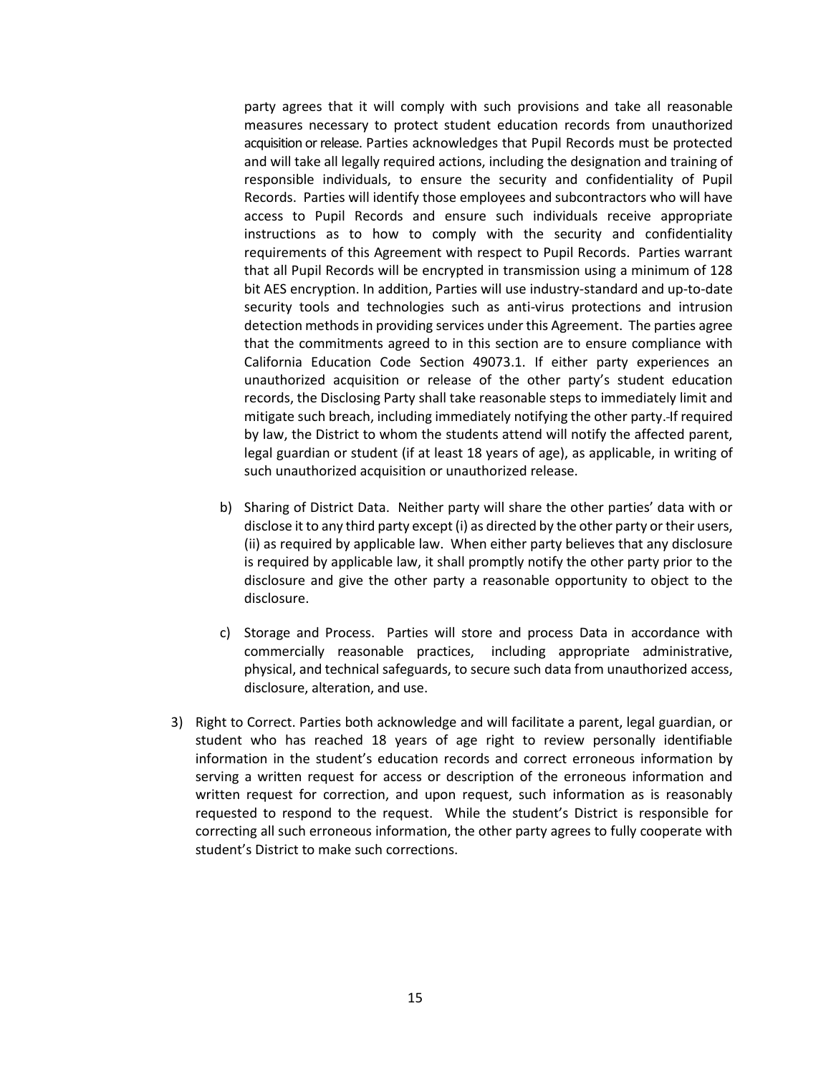party agrees that it will comply with such provisions and take all reasonable measures necessary to protect student education records from unauthorized acquisition or release. Parties acknowledges that Pupil Records must be protected and will take all legally required actions, including the designation and training of responsible individuals, to ensure the security and confidentiality of Pupil Records. Parties will identify those employees and subcontractors who will have access to Pupil Records and ensure such individuals receive appropriate instructions as to how to comply with the security and confidentiality requirements of this Agreement with respect to Pupil Records. Parties warrant that all Pupil Records will be encrypted in transmission using a minimum of 128 bit AES encryption. In addition, Parties will use industry-standard and up-to-date security tools and technologies such as anti-virus protections and intrusion detection methods in providing services under this Agreement. The parties agree that the commitments agreed to in this section are to ensure compliance with California Education Code Section 49073.1. If either party experiences an unauthorized acquisition or release of the other party's student education records, the Disclosing Party shall take reasonable steps to immediately limit and mitigate such breach, including immediately notifying the other party. If required by law, the District to whom the students attend will notify the affected parent, legal guardian or student (if at least 18 years of age), as applicable, in writing of such unauthorized acquisition or unauthorized release.

- b) Sharing of District Data. Neither party will share the other parties' data with or disclose it to any third party except (i) as directed by the other party or their users, (ii) as required by applicable law. When either party believes that any disclosure is required by applicable law, it shall promptly notify the other party prior to the disclosure and give the other party a reasonable opportunity to object to the disclosure.
- c) Storage and Process. Parties will store and process Data in accordance with commercially reasonable practices, including appropriate administrative, physical, and technical safeguards, to secure such data from unauthorized access, disclosure, alteration, and use.
- 3) Right to Correct. Parties both acknowledge and will facilitate a parent, legal guardian, or student who has reached 18 years of age right to review personally identifiable information in the student's education records and correct erroneous information by serving a written request for access or description of the erroneous information and written request for correction, and upon request, such information as is reasonably requested to respond to the request. While the student's District is responsible for correcting all such erroneous information, the other party agrees to fully cooperate with student's District to make such corrections.